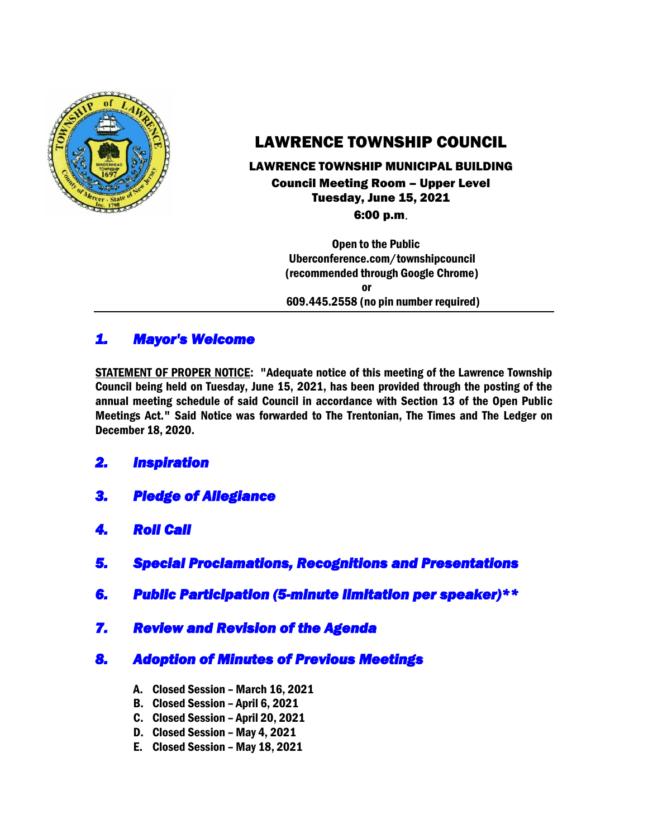

# LAWRENCE TOWNSHIP COUNCIL

# LAWRENCE TOWNSHIP MUNICIPAL BUILDING Council Meeting Room – Upper Level Tuesday, June 15, 2021

6:00 p.m.

 Open to the Public Uberconference.com/townshipcouncil (recommended through Google Chrome) or 609.445.2558 (no pin number required)

## *1. Mayor's Welcome*

STATEMENT OF PROPER NOTICE: "Adequate notice of this meeting of the Lawrence Township Council being held on Tuesday, June 15, 2021, has been provided through the posting of the annual meeting schedule of said Council in accordance with Section 13 of the Open Public Meetings Act." Said Notice was forwarded to The Trentonian, The Times and The Ledger on December 18, 2020.

## *2. Inspiration*

- *3. Pledge of Allegiance*
- *4. Roll Call*
- *5. Special Proclamations, Recognitions and Presentations*
- *6. Public Participation (5-minute limitation per speaker)\*\**
- *7. Review and Revision of the Agenda*

## *8. Adoption of Minutes of Previous Meetings*

- A. Closed Session March 16, 2021
- B. Closed Session April 6, 2021
- C. Closed Session April 20, 2021
- D. Closed Session May 4, 2021
- E. Closed Session May 18, 2021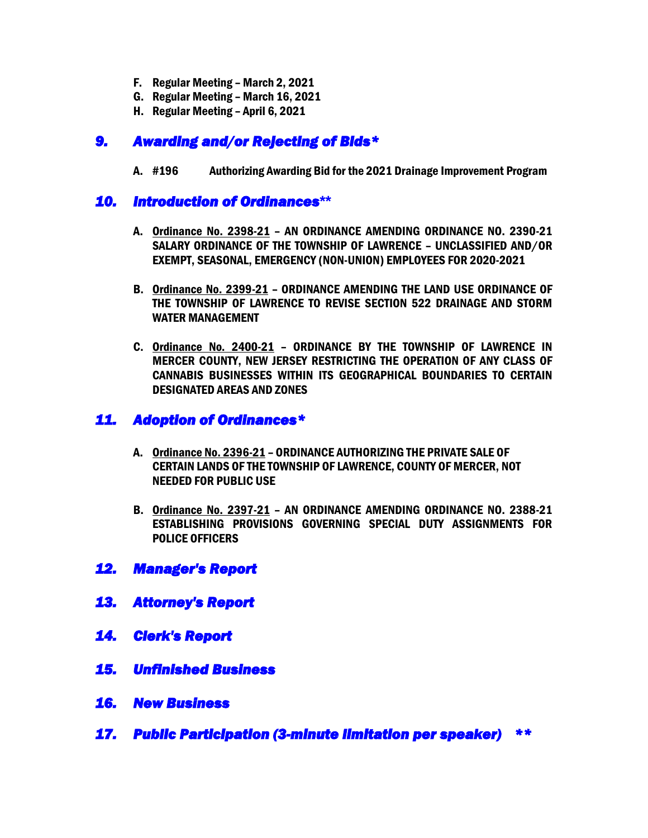- F. Regular Meeting March 2, 2021
- G. Regular Meeting March 16, 2021
- H. Regular Meeting April 6, 2021

## *9. Awarding and/or Rejecting of Bids\**

A. #196 Authorizing Awarding Bid for the 2021 Drainage Improvement Program

#### *10. Introduction of Ordinances***\*\***

- A. Ordinance No. 2398-21 AN ORDINANCE AMENDING ORDINANCE NO. 2390-21 SALARY ORDINANCE OF THE TOWNSHIP OF LAWRENCE – UNCLASSIFIED AND/OR EXEMPT, SEASONAL, EMERGENCY (NON-UNION) EMPLOYEES FOR 2020-2021
- B. Ordinance No. 2399-21 ORDINANCE AMENDING THE LAND USE ORDINANCE OF THE TOWNSHIP OF LAWRENCE TO REVISE SECTION 522 DRAINAGE AND STORM WATER MANAGEMENT
- C. Ordinance No. 2400-21 ORDINANCE BY THE TOWNSHIP OF LAWRENCE IN MERCER COUNTY, NEW JERSEY RESTRICTING THE OPERATION OF ANY CLASS OF CANNABIS BUSINESSES WITHIN ITS GEOGRAPHICAL BOUNDARIES TO CERTAIN DESIGNATED AREAS AND ZONES

### *11. Adoption of Ordinances\**

- A. Ordinance No. 2396-21 ORDINANCE AUTHORIZING THE PRIVATE SALE OF CERTAIN LANDS OF THE TOWNSHIP OF LAWRENCE, COUNTY OF MERCER, NOT NEEDED FOR PUBLIC USE
- B. Ordinance No. 2397-21 AN ORDINANCE AMENDING ORDINANCE NO. 2388-21 ESTABLISHING PROVISIONS GOVERNING SPECIAL DUTY ASSIGNMENTS FOR POLICE OFFICERS

#### *12. Manager's Report*

- *13. Attorney's Report*
- *14. Clerk's Report*
- *15. Unfinished Business*
- *16. New Business*
- *17. Public Participation (3-minute limitation per speaker) \*\**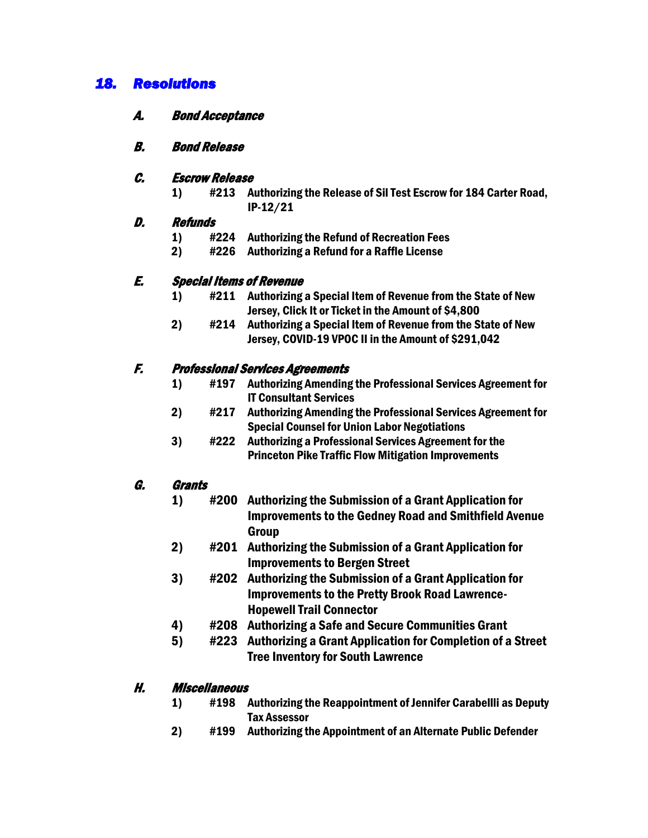## *18. Resolutions*

#### A. Bond Acceptance

#### B. Bond Release

#### C. Escrow Release

1) #213 Authorizing the Release of Sil Test Escrow for 184 Carter Road, IP-12/21

#### D. Refunds

- 1) #224 Authorizing the Refund of Recreation Fees
- 2) #226 Authorizing a Refund for a Raffle License

#### E. Special Items of Revenue

- 1) #211 Authorizing a Special Item of Revenue from the State of New Jersey, Click It or Ticket in the Amount of \$4,800
- 2) #214 Authorizing a Special Item of Revenue from the State of New Jersey, COVID-19 VPOC II in the Amount of \$291,042

#### F. Professional Services Agreements

- 1) #197 Authorizing Amending the Professional Services Agreement for IT Consultant Services
- 2) #217 Authorizing Amending the Professional Services Agreement for Special Counsel for Union Labor Negotiations
- 3) #222 Authorizing a Professional Services Agreement for the Princeton Pike Traffic Flow Mitigation Improvements

#### G. Grants

- 1) #200 Authorizing the Submission of a Grant Application for Improvements to the Gedney Road and Smithfield Avenue Group
- 2) #201 Authorizing the Submission of a Grant Application for Improvements to Bergen Street
- 3) #202 Authorizing the Submission of a Grant Application for Improvements to the Pretty Brook Road Lawrence-Hopewell Trail Connector
- 4) #208 Authorizing a Safe and Secure Communities Grant
- 5) #223 Authorizing a Grant Application for Completion of a Street Tree Inventory for South Lawrence

#### H. Miscellaneous

- 1) #198 Authorizing the Reappointment of Jennifer Carabellli as Deputy Tax Assessor
- 2) #199 Authorizing the Appointment of an Alternate Public Defender